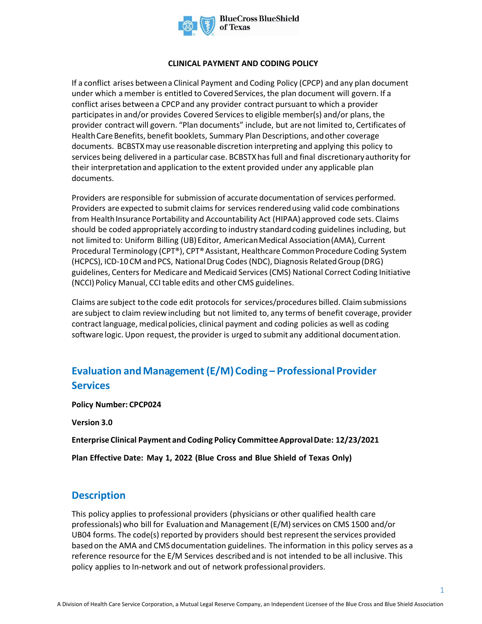

#### **CLINICAL PAYMENT AND CODING POLICY**

If a conflict arises between a Clinical Payment and Coding Policy (CPCP) and any plan document under which a member is entitled to Covered Services, the plan document will govern. If a conflict arises between a CPCP and any provider contract pursuant to which a provider participates in and/or provides Covered Services to eligible member(s) and/or plans, the provider contract will govern. "Plan documents" include, but are not limited to, Certificates of Health Care Benefits, benefit booklets, Summary Plan Descriptions, and other coverage documents. BCBSTXmay use reasonable discretion interpreting and applying this policy to services being delivered in a particular case. BCBSTXhas full and final discretionary authority for their interpretation and application to the extent provided under any applicable plan documents.

Providers are responsible for submission of accurate documentation of services performed. Providers are expected to submit claims for services rendered using valid code combinations from Health Insurance Portability and Accountability Act (HIPAA) approved code sets. Claims should be coded appropriately according to industry standard coding guidelines including, but not limited to: Uniform Billing (UB) Editor, American Medical Association (AMA), Current Procedural Terminology (CPT®), CPT® Assistant, Healthcare Common Procedure Coding System (HCPCS), ICD-10 CM and PCS, National Drug Codes (NDC), Diagnosis Related Group (DRG) guidelines, Centers for Medicare and Medicaid Services (CMS) National Correct Coding Initiative (NCCI) Policy Manual, CCI table edits and other CMS guidelines.

Claims are subject to the code edit protocols for services/procedures billed. Claim submissions are subject to claim review including but not limited to, any terms of benefit coverage, provider contract language, medical policies, clinical payment and coding policies as well as coding software logic. Upon request, the provider is urged to submit any additional documentation.

# **Evaluation and Management (E/M) Coding – Professional Provider Services**

**Policy Number: CPCP024** 

**Version 3.0** 

**Enterprise Clinical Payment and Coding Policy Committee Approval Date: 12/23/2021** 

**Plan Effective Date: May 1, 2022 (Blue Cross and Blue Shield of Texas Only)**

## **Description**

This policy applies to professional providers (physicians or other qualified health care professionals) who bill for Evaluation and Management (E/M) services on CMS 1500 and/or UB04 forms. The code(s) reported by providers should best represent the services provided based on the AMA and CMS documentation guidelines. The information in this policy serves as a reference resource for the E/M Services described and is not intended to be all inclusive. This policy applies to In-network and out of network professional providers.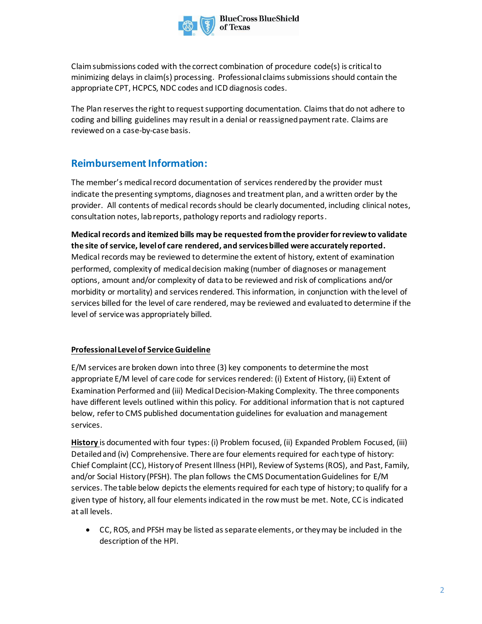

Claim submissions coded with the correct combination of procedure code(s) is criticalto minimizing delays in claim(s) processing. Professional claims submissions should contain the appropriate CPT, HCPCS, NDC codes and ICD diagnosis codes.

The Plan reserves the right to request supporting documentation. Claims that do not adhere to coding and billing guidelines may result in a denial or reassigned payment rate. Claims are reviewed on a case-by-case basis.

## **Reimbursement Information:**

The member's medical record documentation of servicesrenderedby the provider must indicate the presenting symptoms, diagnoses and treatment plan, and a written order by the provider. All contents of medical recordsshould be clearly documented, including clinical notes, consultation notes, lab reports, pathology reports and radiology reports.

**Medical records and itemized bills may be requested from the provider for review to validate the site of service, level of care rendered, and services billed were accurately reported.** Medical records may be reviewed to determine the extent of history, extent of examination performed, complexity of medical decision making (number of diagnoses or management options, amount and/or complexity of data to be reviewed and risk of complications and/or morbidity or mortality) and services rendered. This information, in conjunction with the level of services billed for the level of care rendered, may be reviewed and evaluated to determine if the level of service was appropriately billed.

### **Professional Level of Service Guideline**

E/M services are broken down into three (3) key components to determine the most appropriate E/M level of care code for services rendered: (i) Extent of History, (ii) Extent of Examination Performed and (iii) Medical Decision-Making Complexity. The three components have different levels outlined within this policy. For additional information that is not captured below, refer to CMS published documentation guidelines for evaluation and management services.

**History** is documented with four types: (i) Problem focused, (ii) Expanded Problem Focused, (iii) Detailed and (iv) Comprehensive. There are four elements required for each type of history: Chief Complaint (CC), History of Present Illness (HPI), Review of Systems (ROS), and Past, Family, and/or Social History (PFSH). The plan follows the CMS Documentation Guidelines for E/M services. The table below depicts the elements required for each type of history;to qualify for a given type of history, all four elements indicated in the row must be met. Note, CC is indicated at all levels.

• CC, ROS, and PFSH may be listed as separate elements, or they may be included in the description of the HPI.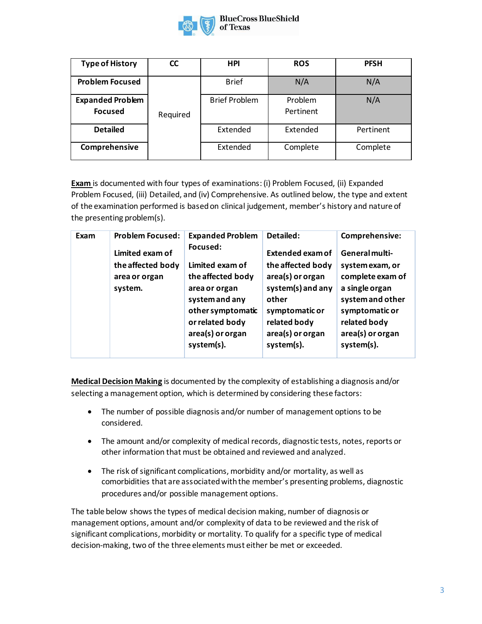

| <b>Type of History</b>                    | <b>CC</b> | <b>HPI</b>           | <b>ROS</b>           | <b>PFSH</b> |
|-------------------------------------------|-----------|----------------------|----------------------|-------------|
| <b>Problem Focused</b>                    |           | <b>Brief</b>         | N/A                  | N/A         |
| <b>Expanded Problem</b><br><b>Focused</b> | Required  | <b>Brief Problem</b> | Problem<br>Pertinent | N/A         |
| <b>Detailed</b>                           |           | Extended             | Extended             | Pertinent   |
| Comprehensive                             |           | Extended             | Complete             | Complete    |

**Exam** is documented with four types of examinations: (i) Problem Focused, (ii) Expanded Problem Focused, (iii) Detailed, and (iv) Comprehensive. As outlined below, the type and extent of the examination performed is based on clinical judgement, member's history and nature of the presenting problem(s).

| Exam | <b>Problem Focused:</b>                                          | <b>Expanded Problem</b>                                                                                                                                       | Detailed:                                                                                                                                                   | Comprehensive:                                                                                                                                                  |
|------|------------------------------------------------------------------|---------------------------------------------------------------------------------------------------------------------------------------------------------------|-------------------------------------------------------------------------------------------------------------------------------------------------------------|-----------------------------------------------------------------------------------------------------------------------------------------------------------------|
|      | Limited exam of<br>the affected body<br>area or organ<br>system. | Focused:<br>Limited exam of<br>the affected body<br>area or organ<br>system and any<br>other symptomatic<br>or related body<br>area(s) or organ<br>system(s). | Extended exam of<br>the affected body<br>area(s) or organ<br>system(s) and any<br>other<br>symptomatic or<br>related body<br>area(s) or organ<br>system(s). | General multi-<br>system exam, or<br>complete exam of<br>a single organ<br>system and other<br>symptomatic or<br>related body<br>area(s) or organ<br>system(s). |

**Medical Decision Making** is documented by the complexity of establishing a diagnosis and/or selecting a management option, which is determined by considering these factors:

- The number of possible diagnosis and/or number of management options to be considered.
- The amount and/or complexity of medical records, diagnostic tests, notes, reports or other information that must be obtained and reviewed and analyzed.
- The risk of significant complications, morbidity and/or mortality, as well as comorbidities that are associated with the member's presenting problems, diagnostic procedures and/or possible management options.

The table below shows the types of medical decision making, number of diagnosis or management options, amount and/or complexity of data to be reviewed and the risk of significant complications, morbidity or mortality. To qualify for a specific type of medical decision-making, two of the three elements must either be met or exceeded.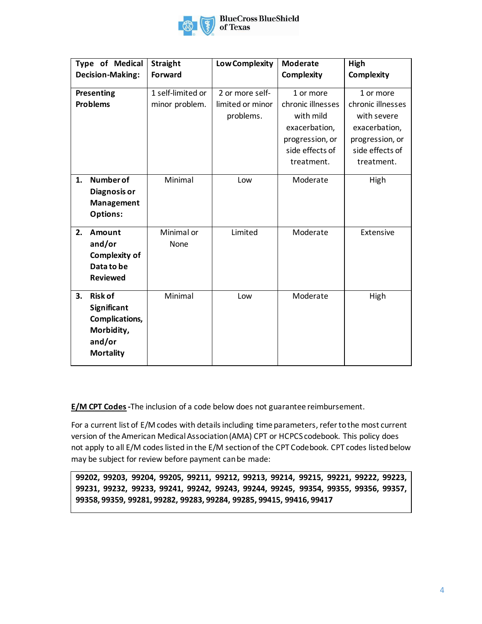

|    | <b>Type of Medical</b>  | <b>Straight</b>   | <b>Low Complexity</b> | <b>Moderate</b>   | High              |
|----|-------------------------|-------------------|-----------------------|-------------------|-------------------|
|    | <b>Decision-Making:</b> | <b>Forward</b>    |                       | <b>Complexity</b> | <b>Complexity</b> |
|    | Presenting              | 1 self-limited or | 2 or more self-       | 1 or more         | 1 or more         |
|    | <b>Problems</b>         | minor problem.    | limited or minor      | chronic illnesses | chronic illnesses |
|    |                         |                   | problems.             | with mild         | with severe       |
|    |                         |                   |                       | exacerbation,     | exacerbation,     |
|    |                         |                   |                       | progression, or   | progression, or   |
|    |                         |                   |                       | side effects of   | side effects of   |
|    |                         |                   |                       | treatment.        | treatment.        |
| 1. | <b>Number of</b>        | Minimal           | Low                   | Moderate          | High              |
|    | Diagnosis or            |                   |                       |                   |                   |
|    | Management              |                   |                       |                   |                   |
|    | <b>Options:</b>         |                   |                       |                   |                   |
| 2. | Amount                  | Minimal or        | Limited               | Moderate          | Extensive         |
|    | and/or                  | None              |                       |                   |                   |
|    | <b>Complexity of</b>    |                   |                       |                   |                   |
|    | Data to be              |                   |                       |                   |                   |
|    | <b>Reviewed</b>         |                   |                       |                   |                   |
| 3. | <b>Risk of</b>          | Minimal           | Low                   | Moderate          | High              |
|    | Significant             |                   |                       |                   |                   |
|    | Complications,          |                   |                       |                   |                   |
|    | Morbidity,              |                   |                       |                   |                   |
|    | and/or                  |                   |                       |                   |                   |
|    | <b>Mortality</b>        |                   |                       |                   |                   |
|    |                         |                   |                       |                   |                   |

**E/M CPT Codes**-The inclusion of a code below does not guarantee reimbursement.

For a current list of E/M codes with details including time parameters, refer to the most current version of the American Medical Association (AMA) CPT or HCPCS codebook. This policy does not apply to all E/M codes listed in the E/M section of the CPT Codebook. CPT codes listed below may be subject for review before payment can be made:

**99202, 99203, 99204, 99205, 99211, 99212, 99213, 99214, 99215, 99221, 99222, 99223, 99231, 99232, 99233, 99241, 99242, 99243, 99244, 99245, 99354, 99355, 99356, 99357, 99358, 99359, 99281, 99282, 99283, 99284, 99285, 99415, 99416, 99417**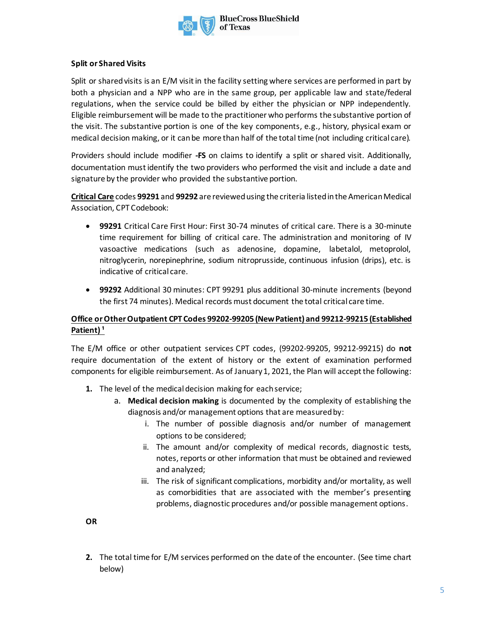

### **Split or Shared Visits**

Split or shared visits is an E/M visit in the facility setting where services are performed in part by both a physician and a NPP who are in the same group, per applicable law and state/federal regulations, when the service could be billed by either the physician or NPP independently. Eligible reimbursement will be made to the practitioner who performs the substantive portion of the visit. The substantive portion is one of the key components, e.g., history, physical exam or medical decision making, or it can be more than half of the total time (not including critical care).

Providers should include modifier **-FS** on claims to identify a split or shared visit. Additionally, documentation must identify the two providers who performed the visit and include a date and signature by the provider who provided the substantive portion.

**Critical Care** codes **99291** and **99292** are reviewed using the criteria listed in the American Medical Association, CPT Codebook:

- **99291** Critical Care First Hour: First 30-74 minutes of critical care. There is a 30-minute time requirement for billing of critical care. The administration and monitoring of IV vasoactive medications (such as adenosine, dopamine, labetalol, metoprolol, nitroglycerin, norepinephrine, sodium nitroprusside, continuous infusion (drips), etc. is indicative of critical care.
- **99292** Additional 30 minutes: CPT 99291 plus additional 30-minute increments (beyond the first 74 minutes). Medical records must document the total critical care time.

### **Office or Other Outpatient CPT Codes 99202-99205 (New Patient) and 99212-99215 (Established**  Patient)<sup>1</sup>

The E/M office or other outpatient services CPT codes, (99202-99205, 99212-99215) do **not** require documentation of the extent of history or the extent of examination performed components for eligible reimbursement. As of January 1, 2021, the Plan will accept the following:

- **1.** The level of the medical decision making for each service;
	- a. **Medical decision making** is documented by the complexity of establishing the diagnosis and/or management options that are measured by:
		- i. The number of possible diagnosis and/or number of management options to be considered;
		- ii. The amount and/or complexity of medical records, diagnostic tests, notes, reports or other information that must be obtained and reviewed and analyzed;
		- iii. The risk of significant complications, morbidity and/or mortality, as well as comorbidities that are associated with the member's presenting problems, diagnostic procedures and/or possible management options.

**OR** 

**2.** The total time for E/M services performed on the date of the encounter. (See time chart below)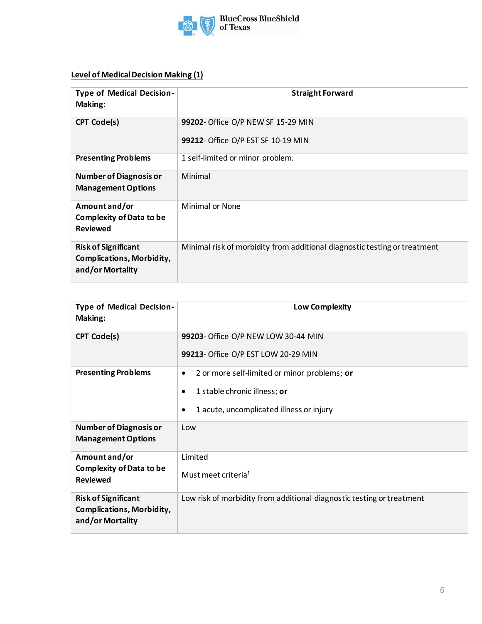

## **Level of Medical Decision Making (1)**

| <b>Type of Medical Decision-</b><br>Making:                                        | <b>Straight Forward</b>                                                   |  |
|------------------------------------------------------------------------------------|---------------------------------------------------------------------------|--|
| <b>CPT Code(s)</b>                                                                 | 99202- Office O/P NEW SF 15-29 MIN<br>99212- Office O/P EST SF 10-19 MIN  |  |
| <b>Presenting Problems</b>                                                         | 1 self-limited or minor problem.                                          |  |
| <b>Number of Diagnosis or</b><br><b>Management Options</b>                         | Minimal                                                                   |  |
| Amount and/or<br><b>Complexity of Data to be</b><br><b>Reviewed</b>                | <b>Minimal or None</b>                                                    |  |
| <b>Risk of Significant</b><br><b>Complications, Morbidity,</b><br>and/or Mortality | Minimal risk of morbidity from additional diagnostic testing or treatment |  |

| <b>Type of Medical Decision-</b>                           | <b>Low Complexity</b>                                                 |
|------------------------------------------------------------|-----------------------------------------------------------------------|
| Making:                                                    |                                                                       |
| <b>CPT Code(s)</b>                                         | 99203- Office O/P NEW LOW 30-44 MIN                                   |
|                                                            | 99213- Office O/P EST LOW 20-29 MIN                                   |
| <b>Presenting Problems</b>                                 | 2 or more self-limited or minor problems; or<br>$\bullet$             |
|                                                            | 1 stable chronic illness; or<br>$\bullet$                             |
|                                                            | 1 acute, uncomplicated illness or injury<br>$\bullet$                 |
| <b>Number of Diagnosis or</b><br><b>Management Options</b> | Low                                                                   |
| Amount and/or                                              | Limited                                                               |
| <b>Complexity of Data to be</b><br><b>Reviewed</b>         | Must meet criteria <sup>1</sup>                                       |
| <b>Risk of Significant</b>                                 | Low risk of morbidity from additional diagnostic testing or treatment |
| <b>Complications, Morbidity,</b><br>and/or Mortality       |                                                                       |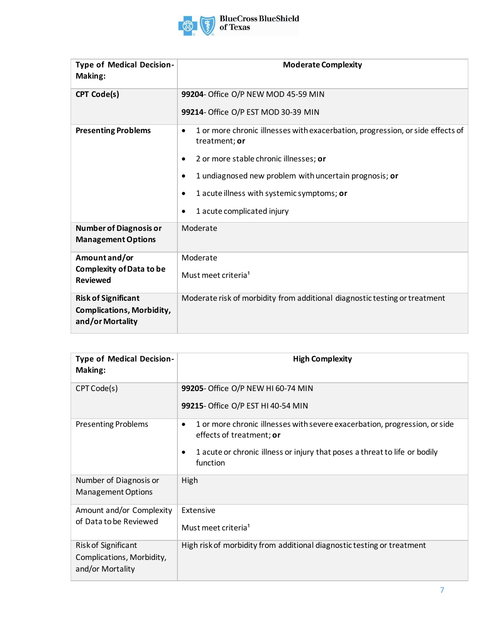

| <b>Type of Medical Decision-</b><br>Making:                                        | <b>Moderate Complexity</b>                                                                           |  |  |
|------------------------------------------------------------------------------------|------------------------------------------------------------------------------------------------------|--|--|
| <b>CPT Code(s)</b>                                                                 | 99204- Office O/P NEW MOD 45-59 MIN                                                                  |  |  |
|                                                                                    | 99214- Office O/P EST MOD 30-39 MIN                                                                  |  |  |
| <b>Presenting Problems</b>                                                         | 1 or more chronic illnesses with exacerbation, progression, or side effects of<br>٠<br>treatment; or |  |  |
|                                                                                    | 2 or more stable chronic illnesses; or<br>٠                                                          |  |  |
|                                                                                    | 1 undiagnosed new problem with uncertain prognosis; or<br>٠                                          |  |  |
|                                                                                    | 1 acute illness with systemic symptoms; or<br>٠                                                      |  |  |
|                                                                                    | 1 acute complicated injury<br>٠                                                                      |  |  |
| <b>Number of Diagnosis or</b><br><b>Management Options</b>                         | Moderate                                                                                             |  |  |
| Amount and/or                                                                      | Moderate                                                                                             |  |  |
| <b>Complexity of Data to be</b><br><b>Reviewed</b>                                 | Must meet criteria <sup>1</sup>                                                                      |  |  |
| <b>Risk of Significant</b><br><b>Complications, Morbidity,</b><br>and/or Mortality | Moderate risk of morbidity from additional diagnostic testing or treatment                           |  |  |

| <b>Type of Medical Decision-</b><br>Making:                          | <b>High Complexity</b>                                                                                                                                                                                |
|----------------------------------------------------------------------|-------------------------------------------------------------------------------------------------------------------------------------------------------------------------------------------------------|
| CPT Code(s)                                                          | 99205- Office O/P NEW HI 60-74 MIN<br>99215- Office O/P EST HI 40-54 MIN                                                                                                                              |
| <b>Presenting Problems</b>                                           | 1 or more chronic illnesses with severe exacerbation, progression, or side<br>٠<br>effects of treatment; or<br>1 acute or chronic illness or injury that poses a threat to life or bodily<br>function |
| Number of Diagnosis or<br><b>Management Options</b>                  | High                                                                                                                                                                                                  |
| Amount and/or Complexity<br>of Data to be Reviewed                   | Extensive<br>Must meet criteria <sup>1</sup>                                                                                                                                                          |
| Risk of Significant<br>Complications, Morbidity,<br>and/or Mortality | High risk of morbidity from additional diagnostic testing or treatment                                                                                                                                |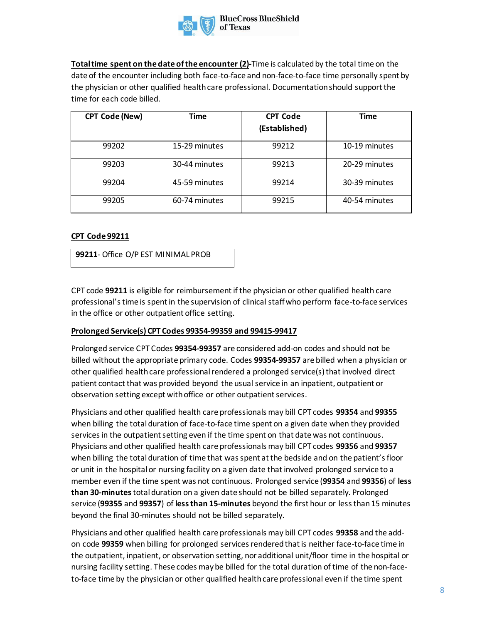

**Total time spent on the date of the encounter (2)-**Time is calculated by the total time on the date of the encounter including both face-to-face and non-face-to-face time personally spent by the physician or other qualified health care professional. Documentation should support the time for each code billed.

| <b>CPT Code (New)</b> | <b>Time</b>   | <b>CPT Code</b><br>(Established) | <b>Time</b>   |
|-----------------------|---------------|----------------------------------|---------------|
| 99202                 | 15-29 minutes | 99212                            | 10-19 minutes |
| 99203                 | 30-44 minutes | 99213                            | 20-29 minutes |
| 99204                 | 45-59 minutes | 99214                            | 30-39 minutes |
| 99205                 | 60-74 minutes | 99215                            | 40-54 minutes |

### **CPT Code 99211**

**99211**- Office O/P EST MINIMAL PROB

CPT code **99211** is eligible for reimbursement if the physician or other qualified health care professional's time is spent in the supervision of clinical staff who perform face-to-face services in the office or other outpatient office setting.

#### **Prolonged Service(s) CPT Codes 99354-99359 and 99415-99417**

Prolonged service CPT Codes **99354-99357** are considered add-on codes and should not be billed without the appropriate primary code. Codes **99354-99357** are billed when a physician or other qualified health care professional rendered a prolonged service(s) that involved direct patient contact that was provided beyond the usual service in an inpatient, outpatient or observation setting except with office or other outpatient services.

Physicians and other qualified health care professionals may bill CPT codes **99354** and **99355**  when billing the total duration of face-to-face time spent on a given date when they provided services in the outpatient setting even if the time spent on that date was not continuous. Physicians and other qualified health care professionals may bill CPT codes **99356** and **99357** when billing the total duration of time that was spent at the bedside and on the patient's floor or unit in the hospital or nursing facility on a given date that involved prolonged service to a member even if the time spent was not continuous. Prolonged service (**99354** and **99356**) of **less than 30-minutes**total duration on a given date should not be billed separately. Prolonged service (**99355** and **99357**) of **less than 15-minutes** beyond the first hour or less than 15 minutes beyond the final 30-minutes should not be billed separately.

Physicians and other qualified health care professionals may bill CPT codes **99358** and the addon code **99359** when billing for prolonged services rendered that is neither face-to-face time in the outpatient, inpatient, or observation setting, nor additional unit/floor time in the hospital or nursing facility setting. These codes may be billed for the total duration of time of the non-faceto-face time by the physician or other qualified health care professional even if the time spent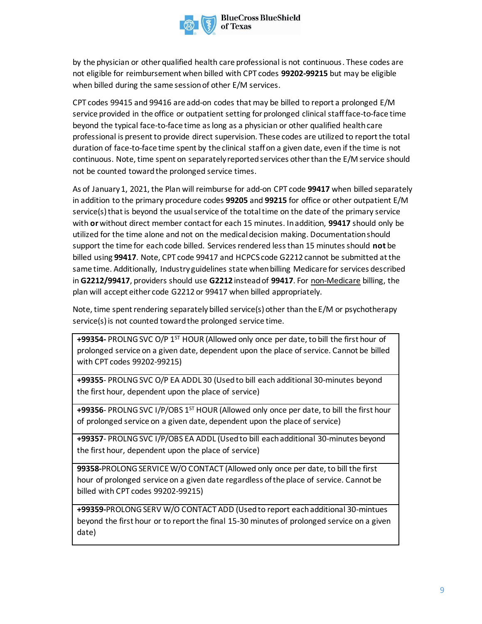by the physician or other qualified health care professional is not continuous. These codes are not eligible for reimbursement when billed with CPT codes **99202-99215** but may be eligible when billed during the same session of other E/M services.

CPT codes 99415 and 99416 are add-on codes that may be billed to report a prolonged E/M service provided in the office or outpatient setting for prolonged clinical staff face-to-face time beyond the typical face-to-face time as long as a physician or other qualified health care professional is present to provide direct supervision. These codes are utilized to report the total duration of face-to-face time spent by the clinical staffon a given date, even if the time is not continuous. Note, time spent on separately reported services other than the E/M service should not be counted toward the prolonged service times.

As of January 1, 2021, the Plan will reimburse for add-on CPT code **99417** when billed separately in addition to the primary procedure codes **99205** and **99215** for office or other outpatient E/M service(s) that is beyond the usual service of the total time on the date of the primary service with **or** without direct member contact for each 15 minutes. In addition, **99417** should only be utilized for the time alone and not on the medical decision making. Documentation should support the time for each code billed. Services rendered less than 15 minutes should **not** be billed using **99417**. Note, CPT code 99417 and HCPCS code G2212 cannot be submitted at the same time. Additionally, Industry guidelines state when billing Medicare for services described in **G2212/99417**, providers should use **G2212** instead of **99417**. For non-Medicare billing, the plan will accept either code G2212 or 99417 when billed appropriately.

Note, time spent rendering separately billed service(s) other than the E/M or psychotherapy service(s) is not counted toward the prolonged service time.

**+99354-** PROLNG SVC O/P 1ST HOUR (Allowed only once per date, to bill the first hour of prolonged service on a given date, dependent upon the place of service. Cannot be billed with CPT codes 99202-99215)

**+99355**- PROLNG SVC O/P EA ADDL 30 (Used to bill each additional 30-minutes beyond the first hour, dependent upon the place of service)

**+99356**- PROLNG SVC I/P/OBS 1<sup>ST</sup> HOUR (Allowed only once per date, to bill the first hour of prolonged service on a given date, dependent upon the place of service)

**+99357**- PROLNG SVC I/P/OBS EA ADDL (Used to bill each additional 30-minutes beyond the first hour, dependent upon the place of service)

**99358-**PROLONG SERVICE W/O CONTACT (Allowed only once per date, to bill the first hour of prolonged service on a given date regardless of the place of service. Cannot be billed with CPT codes 99202-99215)

**+99359-**PROLONG SERV W/O CONTACT ADD (Used to report each additional 30-mintues beyond the first hour or to report the final 15-30 minutes of prolonged service on a given date)